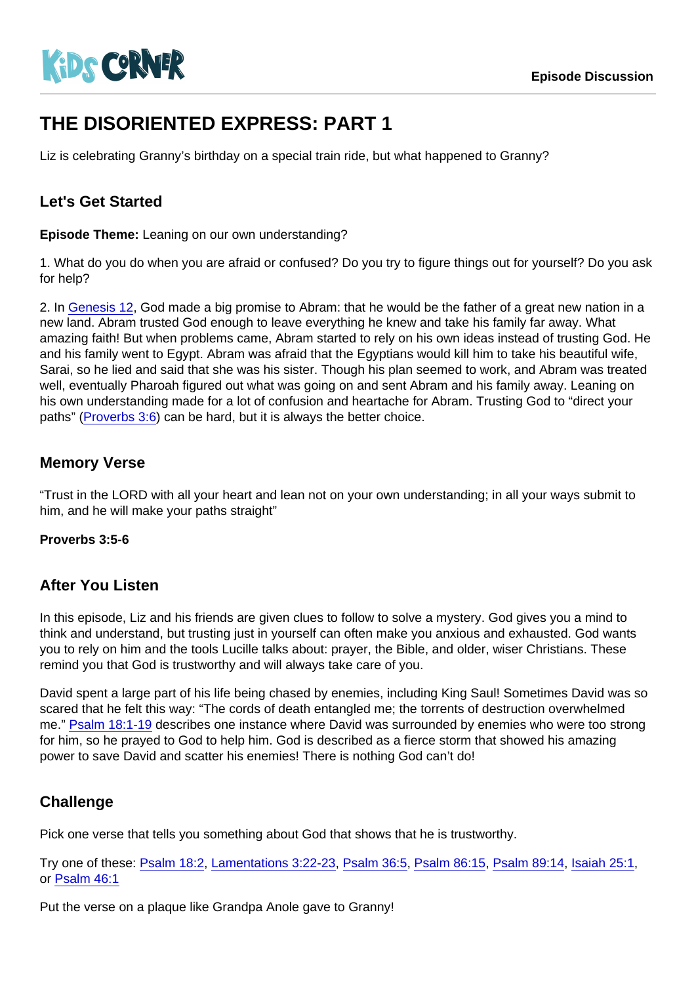# THE DISORIENTED EXPRESS: PART 1

Liz is celebrating Granny's birthday on a special train ride, but what happened to Granny?

### Let's Get Started

Episode Theme: Leaning on our own understanding?

1. What do you do when you are afraid or confused? Do you try to figure things out for yourself? Do you ask for help?

2. In [Genesis 12](https://www.biblegateway.com/passage/?search=Genesis+12), God made a big promise to Abram: that he would be the father of a great new nation in a new land. Abram trusted God enough to leave everything he knew and take his family far away. What amazing faith! But when problems came, Abram started to rely on his own ideas instead of trusting God. He and his family went to Egypt. Abram was afraid that the Egyptians would kill him to take his beautiful wife, Sarai, so he lied and said that she was his sister. Though his plan seemed to work, and Abram was treated well, eventually Pharoah figured out what was going on and sent Abram and his family away. Leaning on his own understanding made for a lot of confusion and heartache for Abram. Trusting God to "direct your paths" [\(Proverbs 3:6\)](https://www.biblegateway.com/passage/?search=Proverbs+3:6) can be hard, but it is always the better choice.

#### Memory Verse

"Trust in the LORD with all your heart and lean not on your own understanding; in all your ways submit to him, and he will make your paths straight"

Proverbs 3:5-6

#### After You Listen

In this episode, Liz and his friends are given clues to follow to solve a mystery. God gives you a mind to think and understand, but trusting just in yourself can often make you anxious and exhausted. God wants you to rely on him and the tools Lucille talks about: prayer, the Bible, and older, wiser Christians. These remind you that God is trustworthy and will always take care of you.

David spent a large part of his life being chased by enemies, including King Saul! Sometimes David was so scared that he felt this way: "The cords of death entangled me; the torrents of destruction overwhelmed me." [Psalm 18:1-19](https://www.biblegateway.com/passage/?search=Psalm+18:1-19) describes one instance where David was surrounded by enemies who were too strong for him, so he prayed to God to help him. God is described as a fierce storm that showed his amazing power to save David and scatter his enemies! There is nothing God can't do!

## **Challenge**

Pick one verse that tells you something about God that shows that he is trustworthy.

Try one of these: [Psalm 18:2,](https://www.biblegateway.com/passage/?search=Psalm+18:2) [Lamentations 3:22-23](https://www.biblegateway.com/passage/?search=Lamentations+3:22-23), [Psalm 36:5](https://www.biblegateway.com/passage/?search=Psalm+36:5), [Psalm 86:15,](https://www.biblegateway.com/passage/?search=Psalm+86:15) [Psalm 89:14,](https://www.biblegateway.com/passage/?search=Psalm+89:14) [Isaiah 25:1,](https://www.biblegateway.com/passage/?search=Isaiah+25:1) or [Psalm 46:1](https://www.biblegateway.com/passage/?search=Psalm+46:1)

Put the verse on a plaque like Grandpa Anole gave to Granny!